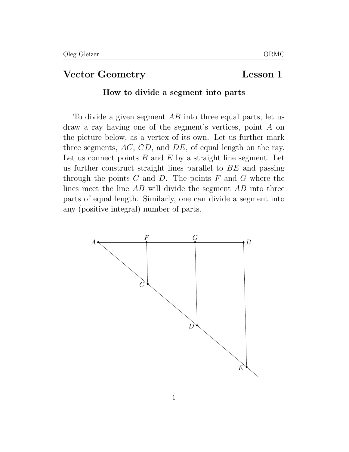# Vector Geometry Lesson 1

#### How to divide a segment into parts

To divide a given segment  $AB$  into three equal parts, let us draw a ray having one of the segment's vertices, point A on the picture below, as a vertex of its own. Let us further mark three segments, AC, CD, and DE, of equal length on the ray. Let us connect points  $B$  and  $E$  by a straight line segment. Let us further construct straight lines parallel to BE and passing through the points  $C$  and  $D$ . The points  $F$  and  $G$  where the lines meet the line AB will divide the segment AB into three parts of equal length. Similarly, one can divide a segment into any (positive integral) number of parts.

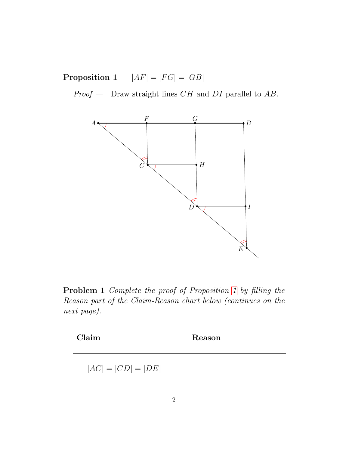<span id="page-1-0"></span>**Proposition 1**  $|AF| = |FG| = |GB|$ 

 $Proof$  — Draw straight lines  $CH$  and  $DI$  parallel to  $AB$ .



Problem 1 Complete the proof of Proposition [1](#page-1-0) by filling the Reason part of the Claim-Reason chart below (continues on the next page).

| Claim                | Reason |
|----------------------|--------|
| $ AC  =  CD  =  DE $ |        |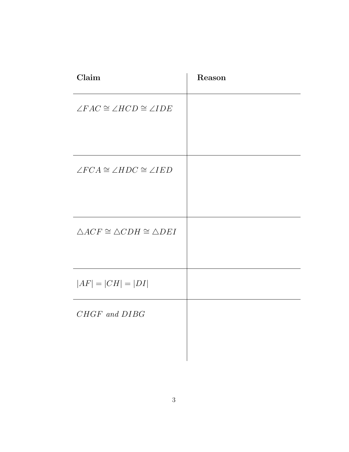| Claim                                                   | Reason |
|---------------------------------------------------------|--------|
| $\angle FAC \cong \angle HCD \cong \angle IDE$          |        |
|                                                         |        |
| $\angle FCA \cong \angle HDC \cong \angle IED$          |        |
|                                                         |        |
| $\triangle ACF \cong \triangle CDH \cong \triangle DEI$ |        |
|                                                         |        |
| $ AF  =  CH  =  DI $                                    |        |
| CHGF and DIBG                                           |        |
|                                                         |        |
|                                                         |        |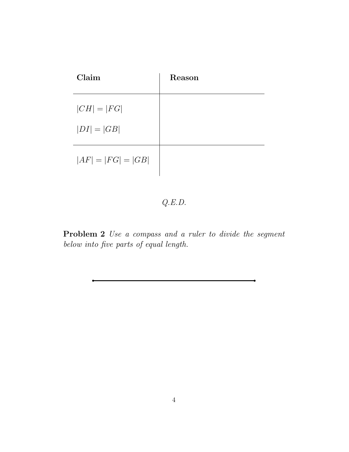| Claim                | Reason |
|----------------------|--------|
| $ CH  =  FG $        |        |
| $ DI  =  GB $        |        |
| $ AF  =  FG  =  GB $ |        |

# Q.E.D.

Problem 2 Use a compass and a ruler to divide the segment below into five parts of equal length.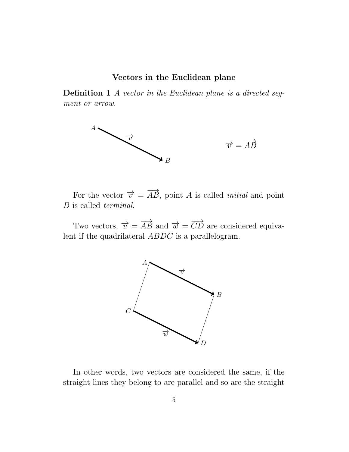### Vectors in the Euclidean plane

Definition 1 A vector in the Euclidean plane is a directed segment or arrow.



For the vector  $\vec{v} = \vec{AB}$ , point A is called *initial* and point B is called terminal.

Two vectors,  $\overrightarrow{v} = \overrightarrow{AB}$  and  $\overrightarrow{w} = \overrightarrow{CD}$  are considered equivalent if the quadrilateral ABDC is a parallelogram.



In other words, two vectors are considered the same, if the straight lines they belong to are parallel and so are the straight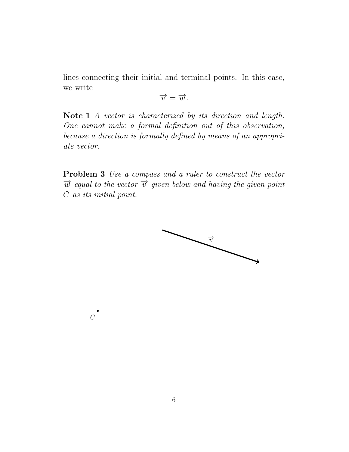lines connecting their initial and terminal points. In this case, we write

$$
\overrightarrow{v}=\overrightarrow{w}.
$$

Note 1 A vector is characterized by its direction and length. One cannot make a formal definition out of this observation, because a direction is formally defined by means of an appropriate vector.

Problem 3 Use a compass and a ruler to construct the vector  $\vec{w}$  equal to the vector  $\vec{v}$  given below and having the given point C as its initial point.



 $\mathcal{C}$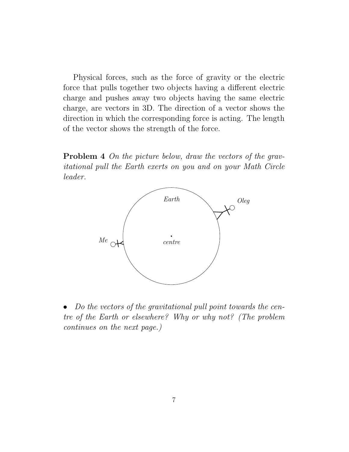Physical forces, such as the force of gravity or the electric force that pulls together two objects having a different electric charge and pushes away two objects having the same electric charge, are vectors in 3D. The direction of a vector shows the direction in which the corresponding force is acting. The length of the vector shows the strength of the force.

Problem 4 On the picture below, draw the vectors of the gravitational pull the Earth exerts on you and on your Math Circle leader.



• Do the vectors of the gravitational pull point towards the centre of the Earth or elsewhere? Why or why not? (The problem continues on the next page.)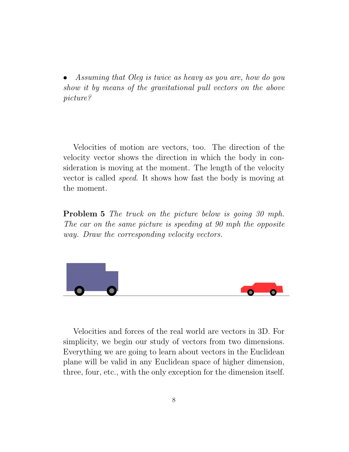• Assuming that Oleg is twice as heavy as you are, how do you show it by means of the gravitational pull vectors on the above picture?

Velocities of motion are vectors, too. The direction of the velocity vector shows the direction in which the body in consideration is moving at the moment. The length of the velocity vector is called speed. It shows how fast the body is moving at the moment.

**Problem 5** The truck on the picture below is going 30 mph. The car on the same picture is speeding at 90 mph the opposite way. Draw the corresponding velocity vectors.



Velocities and forces of the real world are vectors in 3D. For simplicity, we begin our study of vectors from two dimensions. Everything we are going to learn about vectors in the Euclidean plane will be valid in any Euclidean space of higher dimension, three, four, etc., with the only exception for the dimension itself.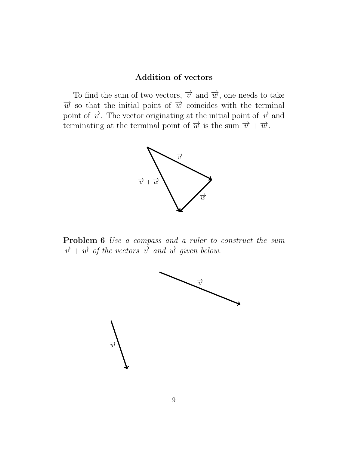## Addition of vectors

To find the sum of two vectors,  $\vec{v}$  and  $\vec{w}$ , one needs to take  $\vec{w}$  so that the initial point of  $\vec{w}$  coincides with the terminal point of  $\vec{v}$ . The vector originating at the initial point of  $\vec{v}$  and terminating at the terminal point of  $\vec{w}$  is the sum  $\vec{v} + \vec{w}$ .



Problem 6 Use a compass and a ruler to construct the sum  $\overrightarrow{v}+\overrightarrow{w}$  of the vectors  $\overrightarrow{v}$  and  $\overrightarrow{w}$  given below.

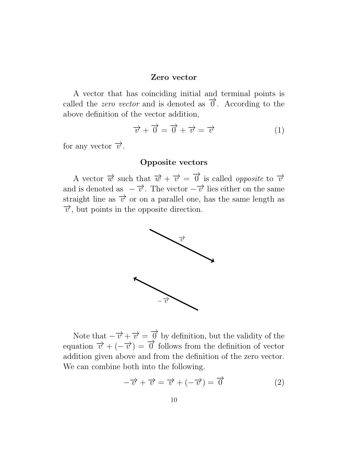#### Zero vector

A vector that has coinciding initial and terminal points is called the *zero vector* and is denoted as  $\vec{\theta}$ . According to the above definition of the vector addition,

<span id="page-9-0"></span>
$$
\overrightarrow{v} + \overrightarrow{0} = \overrightarrow{0} + \overrightarrow{v} = \overrightarrow{v}
$$
 (1)

for any vector  $\vec{v}$ .

### Opposite vectors

A vector  $\vec{w}$  such that  $\vec{w} + \vec{v} = \vec{0}$  is called *opposite* to  $\vec{v}$ and is denoted as  $-\vec{v}$ . The vector  $-\vec{v}$  lies either on the same straight line as  $\vec{v}$  or on a parallel one, has the same length as  $\vec{v}$ , but points in the opposite direction.



Note that  $-\overrightarrow{v} + \overrightarrow{v} = \overrightarrow{0}$  by definition, but the validity of the equation  $\vec{v} + (-\vec{v}) = \vec{0}$  follows from the definition of vector addition given above and from the definition of the zero vector. We can combine both into the following.

<span id="page-9-1"></span>
$$
-\overrightarrow{v} + \overrightarrow{v} = \overrightarrow{v} + (-\overrightarrow{v}) = \overrightarrow{0}
$$
 (2)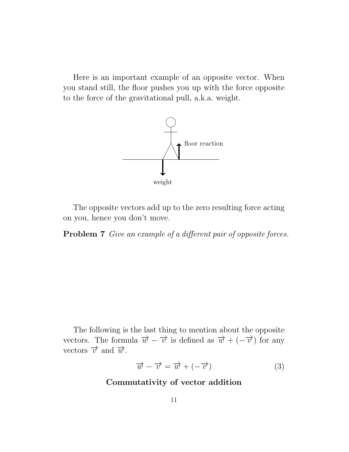Here is an important example of an opposite vector. When you stand still, the floor pushes you up with the force opposite to the force of the gravitational pull, a.k.a. weight.



The opposite vectors add up to the zero resulting force acting on you, hence you don't move.

Problem 7 Give an example of a different pair of opposite forces.

The following is the last thing to mention about the opposite vectors. The formula  $\vec{w} - \vec{v}$  is defined as  $\vec{w} + (-\vec{v})$  for any vectors  $\overrightarrow{v}$  and  $\overrightarrow{w}$ .

$$
\overrightarrow{w} - \overrightarrow{v} = \overrightarrow{w} + (-\overrightarrow{v}) \tag{3}
$$

Commutativity of vector addition